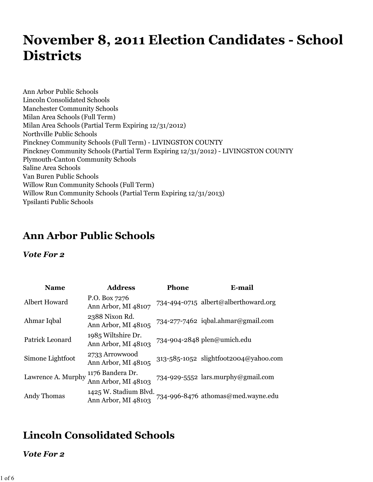# **November 8, 2011 Election Candidates - School Districts**

Ann Arbor Public Schools Lincoln Consolidated Schools Manchester Community Schools Milan Area Schools (Full Term) Milan Area Schools (Partial Term Expiring 12/31/2012) Northville Public Schools Pinckney Community Schools (Full Term) - LIVINGSTON COUNTY Pinckney Community Schools (Partial Term Expiring 12/31/2012) - LIVINGSTON COUNTY Plymouth-Canton Community Schools Saline Area Schools Van Buren Public Schools Willow Run Community Schools (Full Term) Willow Run Community Schools (Partial Term Expiring 12/31/2013) Ypsilanti Public Schools

### **Ann Arbor Public Schools**

#### *Vote For 2*

| <b>Name</b>        | <b>Address</b>                               | <b>Phone</b> | E-mail                                |
|--------------------|----------------------------------------------|--------------|---------------------------------------|
| Albert Howard      | P.O. Box 7276<br>Ann Arbor, MI 48107         |              | 734-494-0715 albert@alberthoward.org  |
| Ahmar Iqbal        | 2388 Nixon Rd.<br>Ann Arbor, MI 48105        |              | 734-277-7462 iqbal.ahmar@gmail.com    |
| Patrick Leonard    | 1985 Wiltshire Dr.<br>Ann Arbor, MI 48103    |              | 734-904-2848 plen@umich.edu           |
| Simone Lightfoot   | 2733 Arrowwood<br>Ann Arbor, MI 48105        |              | 313-585-1052 slightfoot2004@yahoo.com |
| Lawrence A. Murphy | 1176 Bandera Dr.<br>Ann Arbor, MI 48103      |              | 734-929-5552 lars.murphy@gmail.com    |
| Andy Thomas        | 1425 W. Stadium Blvd.<br>Ann Arbor, MI 48103 |              | 734-996-8476 athomas@med.wayne.edu    |

## **Lincoln Consolidated Schools**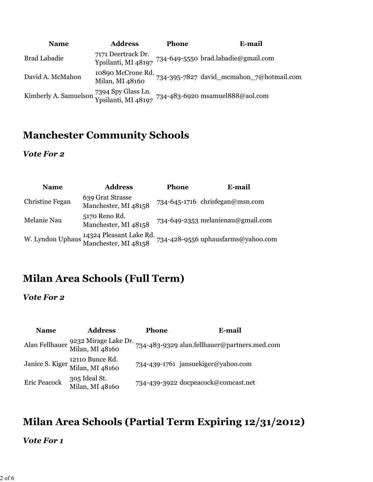| <b>Name</b>         | <b>Address</b>                       | <b>Phone</b> | E-mail                                                                                                                                   |
|---------------------|--------------------------------------|--------------|------------------------------------------------------------------------------------------------------------------------------------------|
| <b>Brad Labadie</b> | 7171 Deertrack Dr.                   |              | Ypsilanti, MI 48197 734-649-5550 brad.labadie@gmail.com                                                                                  |
| David A. McMahon    | 10890 McCrone Rd.<br>Milan, MI 48160 |              | 734-395-7827 david_mcmahon_7@hotmail.com                                                                                                 |
|                     |                                      |              | Kimberly A. Samuelson 7394 Spy Glass Ln. $734-483-6920$ msamuel $888@$ aol.com Ypsilanti, MI $48197$ 734-483-6920 msamuel $888@$ aol.com |

### **Manchester Community Schools**

#### *Vote For 2*

| <b>Name</b>     | <b>Address</b>                                                   | <b>Phone</b> | E-mail                             |
|-----------------|------------------------------------------------------------------|--------------|------------------------------------|
| Christine Fegan | 639 Grat Strasse<br>Manchester, MI 48158                         |              | 734-645-1716 chrisfegan@msn.com    |
| Melanie Nau     | 5170 Reno Rd.<br>Manchester, MI 48158                            |              | 734-649-2353 melanienau@gmail.com  |
|                 | W. Lyndon Uphaus 14324 Pleasant Lake Rd.<br>Manchester, MI 48158 |              | 734-428-9556 uphausfarms@yahoo.com |

## **Milan Area Schools (Full Term)**

*Vote For 2*

| <b>Name</b>  | <b>Address</b>                                         | <b>Phone</b> | E-mail                                       |
|--------------|--------------------------------------------------------|--------------|----------------------------------------------|
|              | Alan Fellhauer 9232 Mirage Lake Dr.<br>Milan, MI 48160 |              | 734-483-9329 alan.fellhauer@partners.med.com |
|              | Janice S. Kiger 12110 Bunce Rd.<br>Milan, MI 48160     |              | 734-439-1761 jansuekiger@yahoo.com           |
| Eric Peacock | 305 Ideal St.<br>Milan, MI 48160                       |              | 734-439-3922 docpeacock@comcast.net          |

## **Milan Area Schools (Partial Term Expiring 12/31/2012)**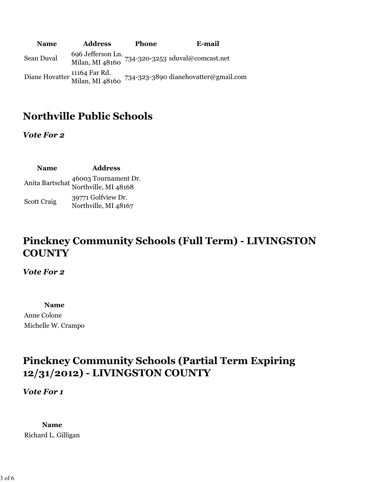| <b>Name</b> | <b>Address</b> | <b>Phone</b> | E-mail                                                                                                   |
|-------------|----------------|--------------|----------------------------------------------------------------------------------------------------------|
| Sean Duval  |                |              | 696 Jefferson Ln. $734-320-3253$ sduval@comcast.net<br>Milan, MI 48160 $734-320-3253$ sduval@comcast.net |
|             |                |              | Diane Hovatter 11164 Far Rd.<br>Milan, MI 48160 734-323-3890 dianehovatter@gmail.com                     |

### **Northville Public Schools**

*Vote For 2*

**Name Address** Anita Bartschat 46003 Tournament Dr. Northville, MI 48168 Scott Craig 39771 Golfview Dr. Northville, MI 48167

## **Pinckney Community Schools (Full Term) - LIVINGSTON COUNTY**

*Vote For 2*

**Name**

Anne Colone Michelle W. Crampo

## **Pinckney Community Schools (Partial Term Expiring 12/31/2012) - LIVINGSTON COUNTY**

*Vote For 1*

**Name** Richard L. Gilligan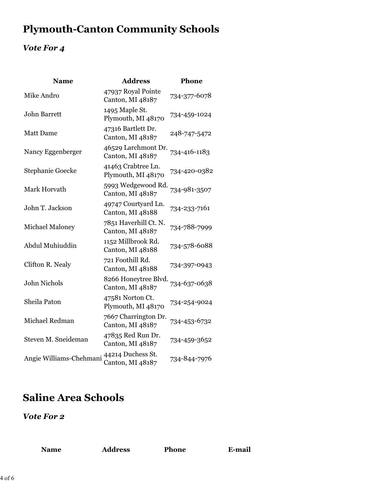## **Plymouth-Canton Community Schools**

### *Vote For 4*

| <b>Name</b>             | <b>Address</b>                            | Phone        |
|-------------------------|-------------------------------------------|--------------|
| Mike Andro              | 47937 Royal Pointe<br>Canton, MI 48187    | 734-377-6078 |
| <b>John Barrett</b>     | 1495 Maple St.<br>Plymouth, MI 48170      | 734-459-1024 |
| <b>Matt Dame</b>        | 47316 Bartlett Dr.<br>Canton, MI 48187    | 248-747-5472 |
| Nancy Eggenberger       | 46529 Larchmont Dr.<br>Canton, MI 48187   | 734-416-1183 |
| Stephanie Goecke        | 41463 Crabtree Ln.<br>Plymouth, MI 48170  | 734-420-0382 |
| Mark Horvath            | 5993 Wedgewood Rd.<br>Canton, MI 48187    | 734-981-3507 |
| John T. Jackson         | 49747 Courtyard Ln.<br>Canton, MI 48188   | 734-233-7161 |
| <b>Michael Maloney</b>  | 7851 Haverhill Ct. N.<br>Canton, MI 48187 | 734-788-7999 |
| Abdul Muhiuddin         | 1152 Millbrook Rd.<br>Canton, MI 48188    | 734-578-6088 |
| Clifton R. Nealy        | 721 Foothill Rd.<br>Canton, MI 48188      | 734-397-0943 |
| <b>John Nichols</b>     | 8266 Honeytree Blvd.<br>Canton, MI 48187  | 734-637-0638 |
| Sheila Paton            | 47581 Norton Ct.<br>Plymouth, MI 48170    | 734-254-9024 |
| Michael Redman          | 7667 Charrington Dr.<br>Canton, MI 48187  | 734-453-6732 |
| Steven M. Sneideman     | 47835 Red Run Dr.<br>Canton, MI 48187     | 734-459-3652 |
| Angie Williams-Chehmani | 44214 Duchess St.<br>Canton, MI 48187     | 734-844-7976 |

## **Saline Area Schools**

|  | ℯ |
|--|---|
|--|---|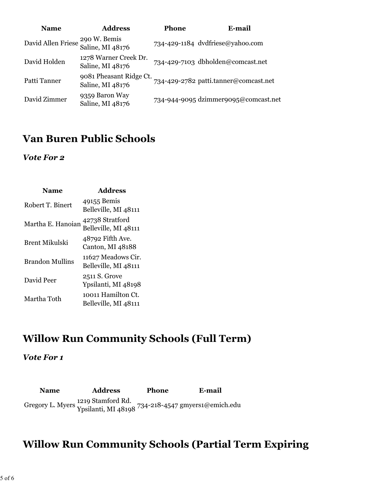| <b>Name</b>        | <b>Address</b>                              | Phone | E-mail                                |
|--------------------|---------------------------------------------|-------|---------------------------------------|
| David Allen Friese | 290 W. Bemis<br>Saline, MI 48176            |       | 734-429-1184 dvdfriese@yahoo.com      |
| David Holden       | 1278 Warner Creek Dr.<br>Saline, MI 48176   |       | 734-429-7103 dbholden@comcast.net     |
| Patti Tanner       | 9081 Pheasant Ridge Ct.<br>Saline, MI 48176 |       | 734-429-2782 patti.tanner@comcast.net |
| David Zimmer       | 9359 Baron Way<br>Saline, MI 48176          |       | 734-944-9095 dzimmer9095@comcast.net  |

### **Van Buren Public Schools**

*Vote For 2*

| Name              | <b>Address</b>                             |
|-------------------|--------------------------------------------|
| Robert T. Binert  | 49155 Bemis<br>Belleville, MI 48111        |
| Martha E. Hanoian | 42738 Stratford<br>Belleville, MI 48111    |
| Brent Mikulski    | 48792 Fifth Ave.<br>Canton, MI 48188       |
| Brandon Mullins   | 11627 Meadows Cir.<br>Belleville, MI 48111 |
| David Peer        | 2511 S. Grove<br>Ypsilanti, MI 48198       |
| Martha Toth       | 10011 Hamilton Ct.<br>Belleville, MI 48111 |

## **Willow Run Community Schools (Full Term)**

*Vote For 1*

**Name Address Phone E-mail** Gregory L. Myers <sup>1219</sup> Stamford Rd.<br>Ypsilanti, MI 48198 <sup>734-218-4547</sup> gmyers1@emich.edu

## **Willow Run Community Schools (Partial Term Expiring**